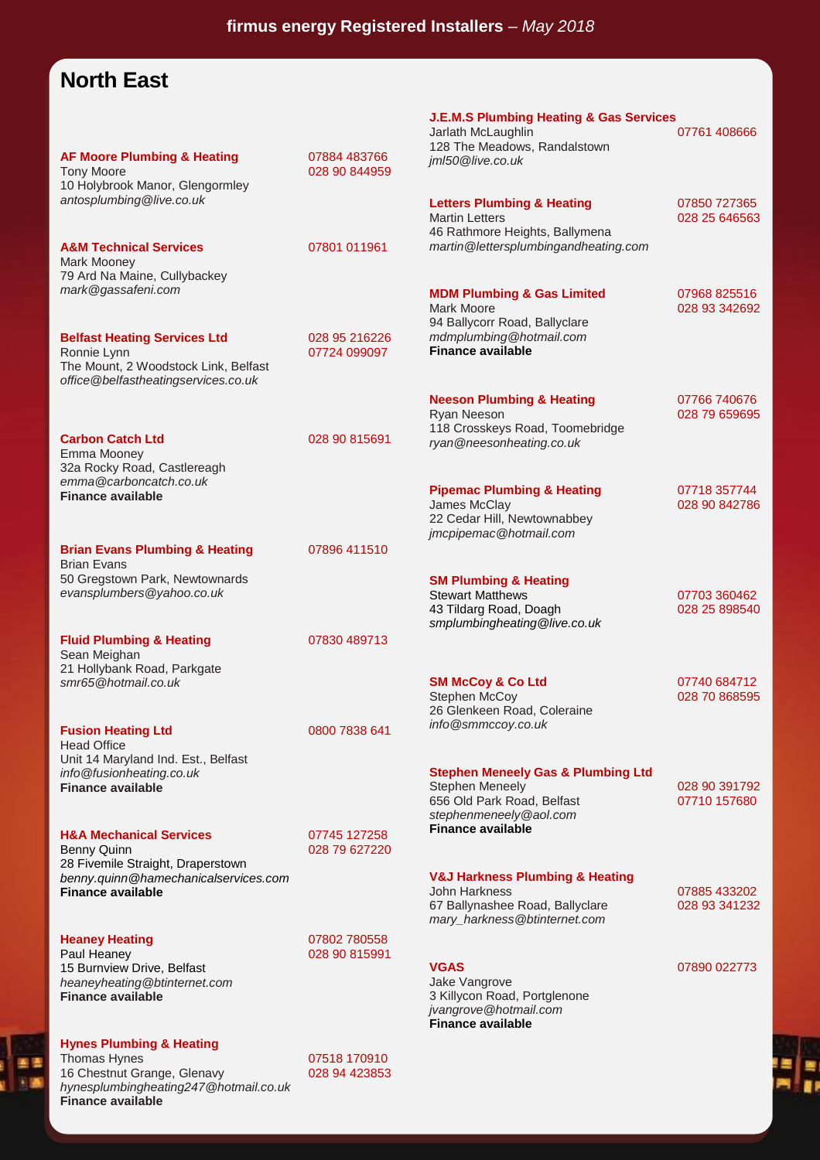## **North East**

| <b>AF Moore Plumbing &amp; Heating</b><br><b>Tony Moore</b><br>10 Holybrook Manor, Glengormley                                    | 07884 483766<br>028 90 844959 | <b>J.E.M.S Plumbing Heating &amp; Gas Services</b><br>Jarlath McLaughlin<br>128 The Meadows, Randalstown<br>jml50@live.co.uk             | 07761 408666                  |
|-----------------------------------------------------------------------------------------------------------------------------------|-------------------------------|------------------------------------------------------------------------------------------------------------------------------------------|-------------------------------|
| antosplumbing@live.co.uk                                                                                                          |                               | <b>Letters Plumbing &amp; Heating</b><br><b>Martin Letters</b><br>46 Rathmore Heights, Ballymena<br>martin@lettersplumbingandheating.com | 07850 727365<br>028 25 646563 |
| <b>A&amp;M Technical Services</b><br>Mark Mooney<br>79 Ard Na Maine, Cullybackey<br>mark@gassafeni.com                            | 07801 011961                  | <b>MDM Plumbing &amp; Gas Limited</b>                                                                                                    | 07968 825516                  |
| <b>Belfast Heating Services Ltd</b><br>Ronnie Lynn<br>The Mount, 2 Woodstock Link, Belfast<br>office@belfastheatingservices.co.uk | 028 95 216226<br>07724 099097 | Mark Moore<br>94 Ballycorr Road, Ballyclare<br>mdmplumbing@hotmail.com<br><b>Finance available</b>                                       | 028 93 342692                 |
| <b>Carbon Catch Ltd</b>                                                                                                           | 028 90 815691                 | <b>Neeson Plumbing &amp; Heating</b><br>Ryan Neeson<br>118 Crosskeys Road, Toomebridge<br>ryan@neesonheating.co.uk                       | 07766 740676<br>028 79 659695 |
| Emma Mooney<br>32a Rocky Road, Castlereagh<br>emma@carboncatch.co.uk<br><b>Finance available</b>                                  |                               | <b>Pipemac Plumbing &amp; Heating</b><br>James McClay<br>22 Cedar Hill, Newtownabbey<br>jmcpipemac@hotmail.com                           | 07718 357744<br>028 90 842786 |
| <b>Brian Evans Plumbing &amp; Heating</b>                                                                                         | 07896 411510                  |                                                                                                                                          |                               |
| <b>Brian Evans</b><br>50 Gregstown Park, Newtownards<br>evansplumbers@yahoo.co.uk                                                 |                               | <b>SM Plumbing &amp; Heating</b><br><b>Stewart Matthews</b><br>43 Tildarg Road, Doagh<br>smplumbingheating@live.co.uk                    | 07703 360462<br>028 25 898540 |
| <b>Fluid Plumbing &amp; Heating</b><br>Sean Meighan<br>21 Hollybank Road, Parkgate                                                | 07830 489713                  |                                                                                                                                          |                               |
| smr65@hotmail.co.uk                                                                                                               |                               | <b>SM McCoy &amp; Co Ltd</b><br><b>Stephen McCoy</b><br>26 Glenkeen Road, Coleraine<br>info@smmccoy.co.uk                                | 07740 684712<br>028 70 868595 |
| <b>Fusion Heating Ltd</b><br><b>Head Office</b><br>Unit 14 Maryland Ind. Est., Belfast                                            | 0800 7838 641                 |                                                                                                                                          |                               |
| info@fusionheating.co.uk<br><b>Finance available</b>                                                                              |                               | <b>Stephen Meneely Gas &amp; Plumbing Ltd</b><br><b>Stephen Meneely</b><br>656 Old Park Road, Belfast<br>stephenmeneely@aol.com          | 028 90 391792<br>07710 157680 |
| <b>H&amp;A Mechanical Services</b><br><b>Benny Quinn</b><br>28 Fivemile Straight, Draperstown                                     | 07745 127258<br>028 79 627220 | <b>Finance available</b>                                                                                                                 |                               |
| benny.quinn@hamechanicalservices.com<br><b>Finance available</b>                                                                  |                               | <b>V&amp;J Harkness Plumbing &amp; Heating</b><br>John Harkness<br>67 Ballynashee Road, Ballyclare<br>mary_harkness@btinternet.com       | 07885 433202<br>028 93 341232 |
| <b>Heaney Heating</b><br>Paul Heaney<br>15 Burnview Drive, Belfast<br>heaneyheating@btinternet.com<br><b>Finance available</b>    | 07802 780558<br>028 90 815991 | <b>VGAS</b><br>Jake Vangrove<br>3 Killycon Road, Portglenone<br>jvangrove@hotmail.com<br><b>Finance available</b>                        | 07890 022773                  |
| <b>Hynes Plumbing &amp; Heating</b><br>Thomas Hynge                                                                               | 07518 170910                  |                                                                                                                                          |                               |

Thomas Hynes **612 170910** 16 Chestnut Grange, Glenavy 028 94 423853 *hynesplumbingheating247@hotmail.co.uk* **Finance available**